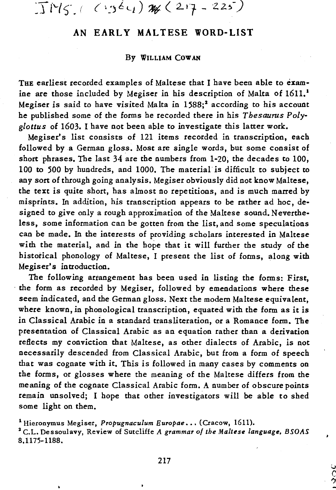$\prod |Y|\zeta|$  ((3<sup>6</sup>4)  $\mathcal{H}$  (217 - 225)

## AN EARLY MALTESE WORD- LIST

## By WILLIAM Cow AN

THE earliest recorded examples of Maltese that I have been able to examine are those included by Megiser in his description of Malta of 1611.<sup>1</sup> Megiser is said to have visited Malta in 1588;<sup>2</sup> according to his account he published some of the forms he recorded there in *his Thesaurus Polyglottus* of 1603. I have not been. able to investigate *this* latter work.

Megiser's list consists of 121 items recorded in transcription, each followed by a German gloss. Most are single words, but some consist of short phrases. The last 34 are the numbers from 1-20, the decades to lOO, 100 to 500 by hundreds, and 1000. The material *is* difficult to subject to any sort of through going analysis. Megiser obviously did not know Maltese, the text *is* quite short, has almost no repetitions, and is much marred by misprints. In addition, his transcription appears to be rather ad hoc, designed to give only a rough approximation of the Maltese sound. Nevertheless, some information can be gotten from the list, and some speculations can be made. In the interests of providing scholars interested in Maltese with the material, and in the hope that *it* will further the study of the historical phonology of Maltese, I present the list of forms, along with Megiser's introduction.

The following arrangement has been used in listing the forms: First, . the form as recorded by Megiser, followed by emendations where these seem indicated, and the German gloss. Next the modem Maltese equivalent, where known, in phonological transcription, equated with the form as *it is*  in Classical Arabic in a standard transliteration, or a Romance form. The presentation of Classical Arabic as an equation rather than a derivation reflects my conviction that Maltese, as other dialects of Arabic, *is* not necessarily descended from Classical Arabic, but from a form of speech that was cognate with *it.* This *is* followed in many cases by comments on the forms, or glosses where the meaning of the Maltese differs from the meaning of the cognate Classical Arabic form. A number of obscure points remain unsolved; I hope that other investigators will be able to shed some light on them.

1 Hieronymus Megiser, *Propugnaculum Europae •••* (Cracow, 1611). 2 C.L. Dessoulavy, Review of Sutcliffe *A grammar* 0/ *the Maltese language. BSOAS*  8.1175-1188.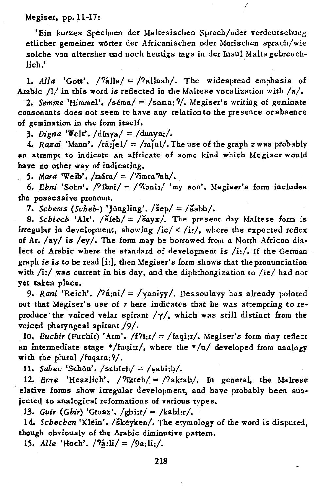Megiser, pp. 11-17:

'Ein kurzes Specimen der Maltesischen Sprach/oder verdeutschung etlicher gemeiner wörter der Africanischen oder Morischen sprach/wie solche von altersher und noch heutigs tags in der Insul Maltagebreuchlich.'

1. Alla 'Gott'. /'alla/ = /'allaah/. The widespread emphasis of Arabic  $/1/$  in this word is reflected in the Maltese vocalization with  $/a/$ .

2. Semme 'Himmel'. /séma/ = /sama: ?/. Megiser's writing of geminate consonants does not seem to have any relation to the presence or absence of gemination in the form itself.

3. Digna 'Welt'. /dinya/ = /dunya:/.

4. Razal 'Mann', /rá;jel/ = /rajul/. The use of the graph z was probably an attempt to indicate an affricate of some kind which Megiser would have no other way of indicating.

5. Mara 'Weib'. /mára/ = /?imra?ah/.

6. Ebni 'Sohn'.  $\sqrt{(\text{bni})} = \sqrt{\text{bini}}$ . 'my son'. Megiser's form includes the possessive pronoun.

7. Schems (Scheb-) 'Jüngling'. / $\text{sep}/\equiv$ / $\text{Sabb}/$ .

8. Schiech 'Alt'. /Sieh/ = /Sayx/. The present day Maltese form is irregular in development, showing /ie/ < /i:/, where the expected reflex of Ar. /ay/ is /ey/. The form may be borrowed from a North African dialect of Arabic where the standard of development is /i:/. If the German graph ie is to be read [i:], then Megiser's form shows that the pronunciation with  $/i$ :/ was current in his day, and the diphthongization to /ie/ had not yet taken place.

9. Rani 'Reich'. /  $\frac{2}{a}$ :ni/ = /  $\gamma$ aniyy/. Dessoulavy has already pointed out that Megiser's use of r here indicates that he was attempting to reproduce the voiced velar spirant  $/\gamma$ , which was still distinct from the voiced pharyngeal spirant /9/.

10. Euchir (Fuchir) 'Arm'.  $/f$ ?i:r/ = /faqi:r/. Megiser's form may reflect an intermediate stage \*/fuqi:r/, where the \*/u/ developed from analogy with the plural /fuqara:?/.

11. Sabec 'Schön'. /sabieh/ = /sabi:h/.

12. Ecre 'Heszlich'. /  $\gamma$ kreh/ =  $\gamma$ akrah/. In general, the Maltese elative forms show irregular development, and have probably been subjected to analogical reformations of various types.

13. Guir (Gbir) 'Grosz',  $/g\text{bi}:r/ = /k\text{abi}:r/$ .

14. Schechen 'Klein'. / škéyken/. The etymology of the word is disputed, though obviously of the Arabic diminutive pattern.

15. Alle 'Hoch'.  $/2a:li/ = /9a:li/$ .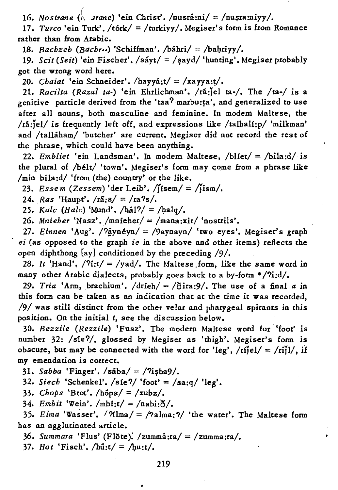16. Nostrane (*h. srane*) 'ein Christ'. /nusra:ni/ = /nusra:niyy/.

17. *Tureo* 'ein Turk'. /tork/ = /turkiyy /. Megiser's form is from Romance rather than from Arabic.

18. *Bachzeb (Bachr--*) 'Schiffman'. /bahri/ = /bahriyy/.

19. *Scit* (Seit) 'ein Fischer'. /sayt/ = /sayd/ 'hunting'. Megiser probably got the wrong word here.

 $20.$  *Chaiat* 'ein Schneider'. /hayyá: $t/ = /x$ ayya: $t/$ .

21. *Racilta (Razal ta-)* 'ein Ehrlichman'. /ra:jel ta-/. The /ta-/ is a genitive particle derived from the 'taa? marbu: $ta'$ , and generalized to use after all nouns, both masculine and feminine. In modem Maltese, the /ra:jel/ *is* frequently left off, and expressions like /talha1i:p/ 'milkman' and /tallaham/ 'butcher' are current. Megiser did not record the rest of the phrase, which could have been anything.

*22. Embliet* 'em Landsman'. In modem Maltese, /bHet/ = /bila:d/ *is*  the plural of /bélt/ 'town'. Megiser's form may come from a phrase like /min bila:d/ 'from (the) country' or the like.

23. Essem (Zessem) 'der Leib'.  $\gamma$ isem/ =  $\gamma$ ism/.

24. Ras 'Haupt'.  $/r\hat{a}$ : s/ =  $/ra$ ?s/.

25. Kalc (Halc) 'Mund'. /hál?/ = /halq/.

*26. Mnieher* 'Nasz'. /mnieher/ = /mana:xir/ 'nostrils'.

27. Einnen 'Aug'. /?ayneyn/ = /9aynayn/ 'two eyes'. Megiser's graph *ei* (as opposed to the graph *ie* in the above and other items) reflects the open diphthong  $[ay]$  conditioned by the preceding  $/9/$ .

28. It 'Hand'.  $/2i$ :t/ = /yad/. The Maltese form, like the same word in many other Arabic dialects, probably goes back to a by-form  $*/2i: d/$ .

29. Tria 'Arm, brachium',  $\frac{\text{drich}}{\text{ch}} = \frac{20}{10}$ . The use of a final a in this form can be taken as an indication that at the time it was recorded, /9/ was still distinct from the other velar and pharygeal spirants in this position. On the initial *t,* see the discussion below.

*30. Bezzile (Rezzile)* 'Fusz'. The modem Maltese word for -'foot' *is*  number 32: /sie?/, glossed by Megiser as 'thigh'. Megiser's form is obscure, but may be connected with the word for 'leg', /rijel/ = /rijl/, if my emendation is correct.

 $31.$  Sabba 'Finger'.  $/sába / = /?işba9/$ .

32. Siech 'Schenkel'.  $\sqrt{\text{sq}^2}$  'foot' =  $\sqrt{\text{sq}}$ ; 'leg'.

*33. Chops* 'Brot'. (hops/ = /xubz/.

 $34.$  *Embit* 'Wein'.  $m\binom{n}{1}$ :  $n\binom{n}{2}$ .

35. Elma 'Wasser'.  $\sqrt{\text{A}}\text{Im}a$  / =  $\sqrt{\text{A}}\text{Im}a$ : ?/ 'the water'. The Maltese form has an agglutinated article.

*36. Summara* 'Flus' (Flote); /zumma:ra/ = /zumma:ra/.

 $37.$  *Hot* 'Fisch'.  $/h\hat{u}_1t$  =  $/hu_1t$ .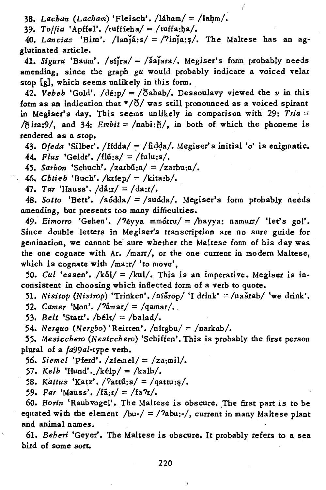38. Lachan (Lacham) 'Fleisch'. /láham/ = /lahm/.

39. Toffia 'Apffel'. /tuffieha/ = /tuffa:ha/.

40. Lancias 'Bim'. /lanja:s/ =  $/$ inja:s/. The Maltese has an agglutinated article.

41. *Sigura* 'Baum'. /siJra/ = /saJara/. Megiser's form probably needs amending, since the graph *gu* would probably indicate a voiced velar stop [g], which seems unlikely in this form.

42. *Veheb* 'Gold'.  $/d\varepsilon:p/ = /\delta ahab/$ . Dessoulavy viewed the *v* in this form as an indication that  $*/\delta/$  was still pronounced as a voiced spirant in Megiser"s day. This seems unlikely in comparison with 29: *Tria =*   $\delta$ ira:9/, and 34: *Embit* = /nabi: $\delta$ /, in both of which the phoneme is rendered as a stop.

43. Ofeda 'Silber'. /fidda/ = /fidda/. Megiser's initial 'o' is enigmatic. *44. Flus* 'Geldt'. /flii:s/ = /fulu:s/.

*45. Sarbon* 'Schuch'. /zarbii:n/ = /zarbu:n/.

*46. Cbtieb* 'Buch'. /kdep/ = /kita:b/.

*47. Tar* 'Hauss'. /da:r/ = /da:r/.

*48. Sotto* 'Bett'. /s6dda/ = /sudda/. Megiser's form probably needs amending, but presents too many difficulties.

49. Eimorro 'Gehen'. /?eyya mmórru/ = /hayya: namurr/ 'let's go!'. Since double letters in Megiser's transcription are no sure guide for gemination, we cannot be' sure whether the Maltese form of his day was the one cognate with Ar. /marr/, or the one current in modern Maltese, which is cognate with /ma:r/ 'to move',

50. Cul 'essen'.  $/k61/ = /k01/$ . This is an imperative. Megiser is inconsistent in choosing which inflected form of a verb to quote.

*51. Nisitop (Nisirop)* 'Trinken'. /nisrop/ 'I drink' = /nasrab/ 'we drink'.

*52. Camer* 'Mon'. /?amar/ = /qamar/.

53. Belt 'Statt'.  $/b$ élt/ =  $/b$ alad/.

*54. Nerquo (Nergbo)* 'Reitten'. /nirgbu/ = /narkab/.

55. Mesicchero (Nesicchero) 'Schiffen'. This is probably the first person plural of a *fa99al-type* verb.

*56. Siemel* 'pferd'. /ziemel/ = /za:miI/.

57. Kelb 'Hund'. /kélp/ = /kalb/.

 $58.$  Kattus 'Katz'.  $/$ <sup>2</sup>attu:s/ =  $/$ qattu:s/.

*59. Far* 'Mauss'. /fa:r/ = /fa?r/.

*60. Borin* 'Raubvogel'. The Maltese is obscure. The first part is to be equated with the element /bu-/ = /?abu:-/, current in many Maltese plant and animal names.

*61. Beheri* 'Geyer'. The Maltese is obscure. It probably refers to a sea bird of some sort.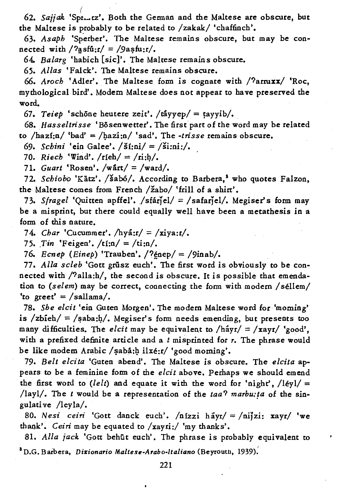62. Sajjak 'Spi...tz'. Both the Geman and the Maltese are obscure, but the Maltese is probably to be related to /zakak/ 'chaffinch'.

63. Asaph 'Sperber'. The Maltese remains obscure, but may be connected with  $\sqrt{2}$ asfú: $r/ = \sqrt{9}$ asfu: $r/$ .

64. Balarg 'habich [sic]'. The Maltese remains obscure.

65. Allas 'Falck'. The Maltese remains obscure.

66. Aroch 'Adler'. The Maltese form is cognate with /?arruxx/ 'Roc, mythological bird'. Modern Maltese does not appear to have preserved the word.

67. Teiep 'schöne heutere zeit'. /tayyep/ = tayyib/.

68. Hasseltrisse 'Bösenwetter'. The first part of the word may be related to /hazí;n/ 'bad' = /hazí;n/ 'sad'. The -trisse remains obscure.

69. Schini 'ein Galee'. /ší;ni/ = /ši;ni;/.

70. Riech 'Wind'. /rich/ = /ri:h/.

71. Guart 'Rosen'. /wart/ = /ward/.

72. Schiobo 'Kätz'. /Šabó/. According to Barbera,<sup>3</sup> who quotes Falzon, the Maltese comes from French /žabo/ 'frill of a shirt'.

73. Stragel 'Quitten apffel'. /sfárjel/ = /safarjel/. Megiser's form may be a misprint, but there could equally well have been a metathesis in a form of this nature.

74. Char 'Cucummer'.  $/hy\hat{a}$ :  $r/ = /xiya$ : r/.

75. Tin 'Feigen'. /ti:n/ = /ti:n/.

76. Ecnep (Einep) 'Trauben'.  $/$ ?énep $/$  =  $/9$ inab $/$ .

77. Alla scleb 'Gott grüsz euch'. The first word is obviously to be connected with /'alla:h/, the second is obscure. It is possible that emendation to (selem) may be correct, connecting the form with modern / séllem/ 'to greet' =  $/sallama/$ .

78. She elcit 'ein Guten Morgen'. The modern Maltese word for 'moming' is  $z\beta$ ieh/ =  $\beta$ saba;h/. Megiser's form needs emending, but presents too many difficulties. The elcit may be equivalent to  $/\hat{\text{hayr}}$  =  $/\text{xayr}$  'good', with a prefixed definite article and a  $t$  misprinted for  $r$ . The phrase would be like modem Arabic / saba:h ilxé:r/ 'good morning'.

79. Belt elcita 'Guten abend'. The Maltese is obscure. The elcita appears to be a feminine form of the elcit above. Perhaps we should emend the first word to (lelt) and equate it with the word for 'night',  $/$ léyl/ = /layl/. The *t* would be a representation of the  $taa^2$  marbu: ta of the singulative /leyla/.

80. Nesi ceiri 'Gott danck euch'. /nízzi háyr/ = /nijzi: xayr/ 'we thank'. Ceiri may be equated to /xayri:/ 'my thanks'.

81. Alla jack 'Gott behüt euch'. The phrase is probably equivalent to <sup>3</sup> D.G. Barbera, *Dizionario Maltese-Arabo-Italiano* (Beyrouth, 1939).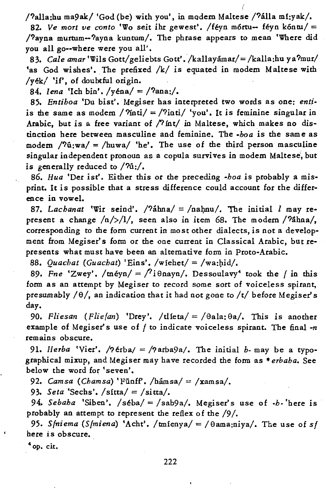/'alla:hu ma9ak/ 'God (be) with you', in modern Maltese /'alla mi:vak/.

82. Ve mort ve conto 'Wo seit ihr gewest'. /féyn mórtu- féyn kóntu/ = /'ayna murtum--'ayna kuntum/. The phrase appears to mean 'Where did you all go--where were you all'.

83. Cale amar 'Wils Gott/geliebts Gott'. /kallayámar/ = /kalla:hu ya?mur/ 'as God wishes'. The prefixed /k/ is equated in modem Maltese with /yék/ 'if', of doubtful origin.

84. lena 'Ich bin'. /yéna/ = /?ana:/.

85. Entiboa 'Du bist'. Megiser has interpreted two words as one: entiis the same as modern /  $\gamma$ nti/ = /?inti/ 'you'. It is feminine singular in Arabic, but is a free variant of /'int/ in Maltese, which makes no distinction here between masculine and feminine. The -boa is the same as modern  $\sqrt{2}u$ :wa/ = /huwa/ 'he'. The use of the third person masculine singular independent pronoun as a copula survives in modem Maltese, but is generally reduced to  $/\hat{\mathrm{u}}$ :/.

86. Hua 'Der ist'. Either this or the preceding -hoa is probably a misprint. It is possible that a stress difference could account for the difference in vowel.

87. Lachanat 'Wir seind'. /?ahna/ = /nahnu/. The initial  $l$  may represent a change  $/n/2/1$ , seen also in item 68. The modern /?ahna/, corresponding to the form current in most other dialects, is not a development from Megiser's form or the one current in Classical Arabic, but represents what must have been an alternative form in Proto-Arabic.

88. Quachat (Guachat) 'Eins'. /wiehet/ = /wa:hid/.

89. Fne 'Zwey'.  $/m \epsilon y n / = \ell i \theta n a y n'$ . Dessoulary<sup>4</sup> took the f in this form as an attempt by Megiser to record some sort of voiceless spirant, presumably  $/ \theta /$ , an indication that it had not gone to  $/t /$  before Megiser's day.

90. Fliesan (Fliefan) 'Drey'. /tlieta/ = / $\theta$ ala: $\theta$ a/. This is another example of Megiser's use of  $f$  to indicate voiceless spirant. The final  $-n$ remains obscure.

91. Herba 'Vier'. /? érba/ = /? arba9a/. The initial b- may be a typographical mixup, and Megiser may have recorded the form as \*erbaba. See below the word for 'seven'.

92. Camsa (Chamsa) 'Fünff'. /hamsa/ = /xamsa/.

93. Seta 'Sechs'. /sítta/ = /sitta/.

94. Sebaha 'Siben'. /séba/ = /sab9a/. Megiser's use of  $-b$ -'here is probably an attempt to represent the reflex of the /9/.

95. S/niema (S/miena) 'Acht'. / tmienya/ = /  $\theta$ ama;niya/. The use of s/ here is obscure.

 $4$  op. cit.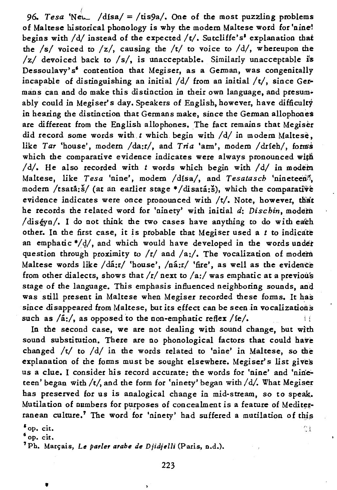( *96. Tesa* 'Ne\.- *Idfsal* = *ltis9a/.* One of the most puzzling problems of Maltese historical phonology *is* why the modem Maltese word for 'nine! begins with *Idl* instead of the expected *It/.* Sutcliffe's· explanation that the *Isl* voiced to *Iz/,* causing the *It I* to voice to *Idl,* whereupon the /z/ devoiced back to /s/, is unacceptable. Similarly unacceptable is Dessoulavy's' contention that Megiser, as a German, was congenitally incapable of distinguishing an initial *Idl* from an initial *Itl,* since Ger~ mans can and do make this distinction in their own language, and presumably could in Megiser's day. Speakers of English, however, have difficulty in hearing the distinction that Germans make, since the German allophones are different from the English allophones. The fact remains that Megiser did record some words with.t which begin with *Idl* in modem Maltese, like *Tar* 'house', modern /da:r/, and *Tria* 'arm', modern /drieh/, forms which the comparative evidence indicates were always pronounced with /d/. He also recorded with *t* words which begin with /d/ in modem Maltese, like *Tesa* 'nine', modern /disa/, and *Tesatasch* 'nineteen<sup>it</sup>, modem /tsata:s/ (at an earlier stage \*/disata:s), which the comparative evidence indicates were once pronounced with /t/. Note, however, that he records the related word for 'ninety' with initial *d: Dischin,* modem. /dis<sub>é</sub>yn/. I do not think the two cases have anything to do with each other. In the first case, it is probable that Megiser used a *t* to indicate an emphatic  $*/d/$ , and which would have developed in the words under question through proximity to /r/ and /a:/. The vocalization of modern Maltese words like /da:r/ 'house', /na:r/ 'fire', as well as the evidence from other dialects, shows that /r/ next to /a:/ was emphatic at a previous stage of the language. This emphasis influenced neighboring sounds, and was still present in Maltese when Megiser recorded these forms. It has since disappeared from Maltese, but its effect can be seen in vocalizations such as  $/\hat{a}$ :/, as opposed to the non-emphatic reflex  $/ie/$ .

In the second case, we are not dealing with sound change, but with sound substitution. There are no phonological factors that could have changed *It I* to *Idl* in the words related to 'nine' in Maltese, so the explanation of the forms must be sought elsewhere. Megiser's list gives us a clue. I consider his record accurate: the words for 'nine' and 'nineteen' began with /t/, and the form for 'ninety' began with /d/. What Megiser has preserved for us is analogical change in mid-stream, so to speak. Mutilation of numbers for purposes of concealment is a feature of Mediterranean culture.<sup>7</sup> The word for 'ninety' had suffered a mutilation of this Mutilatic<br>ranean c<br>\*op. cit. \*

,

<sup>7</sup>Ph. Marçais, Le parler arabe de Djidjelli (Paris, n.d.).

Ωĭ.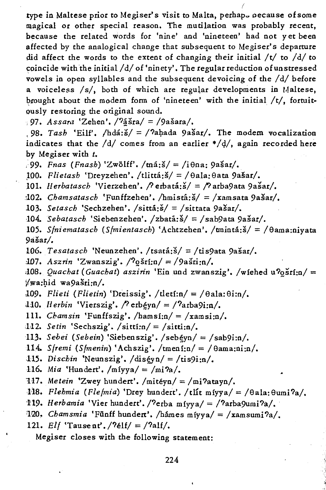type in Maltese prior to Megiser's visit to Malta, perhaps pecause of some magical or other special reason. The mutilation was probably recent, because the related words for 'nine' and 'nineteen' had not yet been affected by the analogical change that subsequent to Megiser's departure did affect the words to the extent of changing their initial  $/t/$  to  $/d/$  to coincide with the initial  $/d/$  of 'ninety'. The regular reduction of unstressed vowels in open syllables and the subsequent devoicing of the / d/ before a voiceless /s/, both of which are regular developments in Maltese, brought about the modern form of 'nineteen' with the initial /t/, fortuitously restoring the original sound.

(

 $197.$  Assara 'Zehen'. /? $\tilde{a}$ sra/ = /9asara/.

. 98. *Tash* 'Eilf'. /hdá: $\zeta/ =$  /?ahada 9asar/. The modem vocalization indicates that the  $/d/$  comes from an earlier  $*/d/$ , again recorded here by Megiser with *t.* 

 $/$ 99. Fnas (Fnash) 'Zwölff'. /tná:š/ = /iθna: 9ašar/.

100. *Flietash* 'Dreyzehen'. /tlittá:š/ = / 0ala: 0ata 9ašar/.

101. Herbatasch 'Vierzehen'. */P* erbatá:š/ = /*P* arba9ata 9ašar/.

*. :102. Chamsatasch* 'Funffzehen'. /hmisca:s/ = /xamsata 9asar/.

*103. Setasch* 'Sechzehen'. /sitta:s/ = /sittata 9asar/.

104. Sebatasch 'Siebenzehen'. /zbata:s/ = /sab9ata 9asar/.

*105. Sfniematasch (S/mientasch)* 'Achtzehen'. /tminta.:s/ = /9ama:niyata 9asar/.

*106. Tesatasch* 'Neunzehen'. /tsata:s/ = /tis9ata 9asar/.

 $\frac{107}{100}$ . *Aszrin* 'Zwanszig'. /?ošrí:n/ = /9ašri:n/.

*†108. Quachat (Guachat) aszirin* 'Ein und zwanszig'. /wiehed u?osri:n/ = V:wa:tIid wa9asri:a/.

*109. Flieti (Flietin)* 'Dreissig'. /tletf:n/ = / 9ala: 9i:n/.

 $410.$  *Herbin* 'Vierszig'.  $\sqrt{?}$  erbéyn/ =  $\sqrt{?}$ arba9i:n/.

Ill. *Chamsin* 'Funffszig'. /hamsi:n/ = /xamsi:n/.

112. *Setin* 'Sechszig'.  $/sittin/ = /sitti:n/$ .

*113. Sebei (Sebein)* 'Siebenszig'. /seb§yn/ = /sab9i:n/.

114. *SfTemi (Sfmenin)* 'Achszig'. /tmenf:n/ = /9ama:ni:n/ •

115. *Dischin* 'Neunszig'. /diséyn/ = /tis9i:n/.

116. *Mia* 'Hundert'. /mfyya/ = /mi?a/.

1.17. *Metein* 'Zwey hundert'. /miteyn/ = /mi?atayn/.

lIB. *Flehmia (Flefmia)* 'Drey hundert'. /t11't miyya/ = /9ala: 9umi?a/.

-n9. *HeTbamia* 'Vier hundert'. /?erba mfyya/ = /?arba9umi?a/.

*lt20. Chamsmia* 'Filnff hundert'. /hames miyya/ = /xamsumi?a/.

121. *Elf* 'Tausent'.  $/$ ''/elf/ =  $/$ 'alf/.

Megiser closes with the following statement: